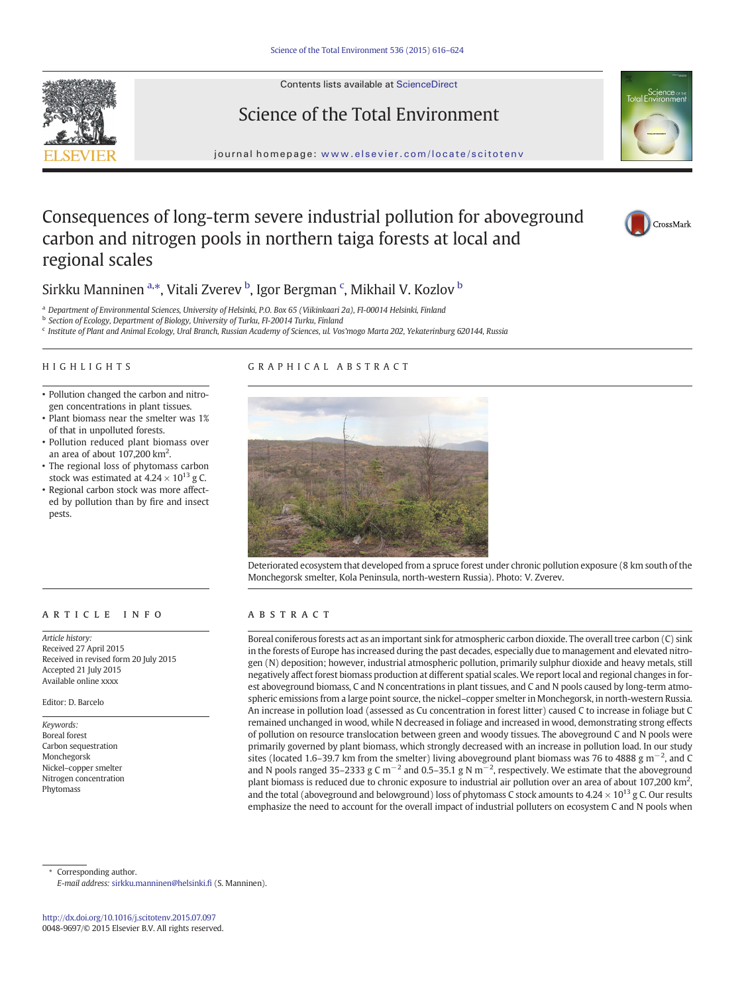Contents lists available at ScienceDirect





journal homepage: <www.elsevier.com/locate/scitotenv>

# Consequences of long-term severe industrial pollution for aboveground carbon and nitrogen pools in northern taiga forests at local and regional scales





Sirkku Manninen <sup>a,\*</sup>, Vitali Zverev <sup>b</sup>, Igor Bergman <sup>c</sup>, Mikhail V. Kozlov <sup>b</sup>

<sup>a</sup> Department of Environmental Sciences, University of Helsinki, P.O. Box 65 (Viikinkaari 2a), FI-00014 Helsinki, Finland

**b** Section of Ecology, Department of Biology, University of Turku, FI-20014 Turku, Finland

<sup>c</sup> Institute of Plant and Animal Ecology, Ural Branch, Russian Academy of Sciences, ul. Vos'mogo Marta 202, Yekaterinburg 620144, Russia

# HIGHLIGHTS

# GRAPHICAL ABSTRACT

- Pollution changed the carbon and nitrogen concentrations in plant tissues.
- Plant biomass near the smelter was 1% of that in unpolluted forests.
- Pollution reduced plant biomass over an area of about  $107,200$  km<sup>2</sup>.
- The regional loss of phytomass carbon stock was estimated at  $4.24 \times 10^{13}$  g C.
- Regional carbon stock was more affected by pollution than by fire and insect pests.

# article info abstract

Article history: Received 27 April 2015 Received in revised form 20 July 2015 Accepted 21 July 2015 Available online xxxx

Editor: D. Barcelo

Keywords: Boreal forest Carbon sequestration Monchegorsk Nickel–copper smelter Nitrogen concentration Phytomass



Deteriorated ecosystem that developed from a spruce forest under chronic pollution exposure (8 km south of the Monchegorsk smelter, Kola Peninsula, north-western Russia). Photo: V. Zverev.

Boreal coniferous forests act as an important sink for atmospheric carbon dioxide. The overall tree carbon (C) sink in the forests of Europe has increased during the past decades, especially due to management and elevated nitrogen (N) deposition; however, industrial atmospheric pollution, primarily sulphur dioxide and heavy metals, still negatively affect forest biomass production at different spatial scales.We report local and regional changes in forest aboveground biomass, C and N concentrations in plant tissues, and C and N pools caused by long-term atmospheric emissions from a large point source, the nickel–copper smelter in Monchegorsk, in north-western Russia. An increase in pollution load (assessed as Cu concentration in forest litter) caused C to increase in foliage but C remained unchanged in wood, while N decreased in foliage and increased in wood, demonstrating strong effects of pollution on resource translocation between green and woody tissues. The aboveground C and N pools were primarily governed by plant biomass, which strongly decreased with an increase in pollution load. In our study sites (located 1.6–39.7 km from the smelter) living aboveground plant biomass was 76 to 4888 g m<sup>-2</sup>, and C and N pools ranged 35–2333 g C m<sup>-2</sup> and 0.5–35.1 g N m<sup>-2</sup>, respectively. We estimate that the aboveground plant biomass is reduced due to chronic exposure to industrial air pollution over an area of about 107,200 km<sup>2</sup>, and the total (aboveground and belowground) loss of phytomass C stock amounts to  $4.24 \times 10^{13}$  g C. Our results emphasize the need to account for the overall impact of industrial polluters on ecosystem C and N pools when

Corresponding author.

E-mail address: [sirkku.manninen@helsinki.](mailto:sirkku.manninen@helsinki.fi)fi (S. Manninen).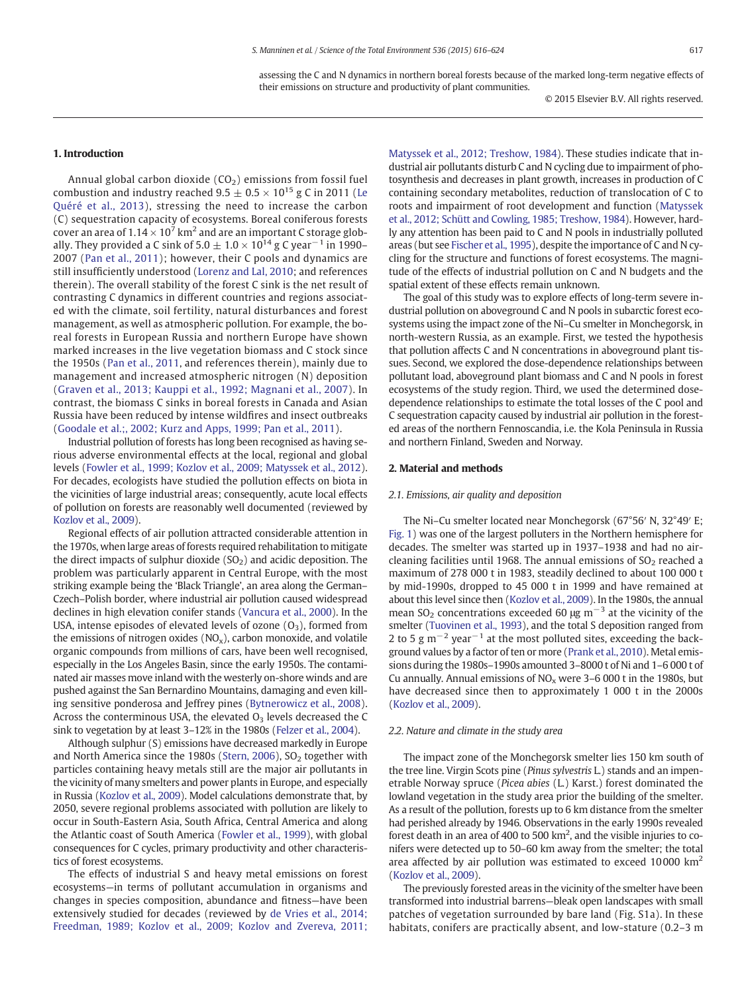assessing the C and N dynamics in northern boreal forests because of the marked long-term negative effects of their emissions on structure and productivity of plant communities.

© 2015 Elsevier B.V. All rights reserved.

# 1. Introduction

Annual global carbon dioxide  $(CO<sub>2</sub>)$  emissions from fossil fuel combustion and industry reached  $9.5 \pm 0.5 \times 10^{15}$  g C in 2011 [\(Le](#page-7-0) [Quéré et al., 2013](#page-7-0)), stressing the need to increase the carbon (C) sequestration capacity of ecosystems. Boreal coniferous forests cover an area of  $1.14 \times 10^7$  km<sup>2</sup> and are an important C storage globally. They provided a C sink of 5.0  $\pm$  1.0  $\times$  10<sup>14</sup> g C year<sup>-1</sup> in 1990– 2007 ([Pan et al., 2011\)](#page-7-0); however, their C pools and dynamics are still insufficiently understood ([Lorenz and Lal, 2010](#page-7-0); and references therein). The overall stability of the forest C sink is the net result of contrasting C dynamics in different countries and regions associated with the climate, soil fertility, natural disturbances and forest management, as well as atmospheric pollution. For example, the boreal forests in European Russia and northern Europe have shown marked increases in the live vegetation biomass and C stock since the 1950s ([Pan et al., 2011](#page-7-0), and references therein), mainly due to management and increased atmospheric nitrogen (N) deposition [\(Graven et al., 2013; Kauppi et al., 1992; Magnani et al., 2007](#page-7-0)). In contrast, the biomass C sinks in boreal forests in Canada and Asian Russia have been reduced by intense wildfires and insect outbreaks [\(Goodale et al.;, 2002; Kurz and Apps, 1999; Pan et al., 2011\)](#page-7-0).

Industrial pollution of forests has long been recognised as having serious adverse environmental effects at the local, regional and global levels ([Fowler et al., 1999; Kozlov et al., 2009; Matyssek et al., 2012](#page-7-0)). For decades, ecologists have studied the pollution effects on biota in the vicinities of large industrial areas; consequently, acute local effects of pollution on forests are reasonably well documented (reviewed by [Kozlov et al., 2009](#page-7-0)).

Regional effects of air pollution attracted considerable attention in the 1970s, when large areas of forests required rehabilitation to mitigate the direct impacts of sulphur dioxide  $(SO<sub>2</sub>)$  and acidic deposition. The problem was particularly apparent in Central Europe, with the most striking example being the 'Black Triangle', an area along the German– Czech–Polish border, where industrial air pollution caused widespread declines in high elevation conifer stands ([Vancura et al., 2000\)](#page-7-0). In the USA, intense episodes of elevated levels of ozone  $(O_3)$ , formed from the emissions of nitrogen oxides  $(NO<sub>x</sub>)$ , carbon monoxide, and volatile organic compounds from millions of cars, have been well recognised, especially in the Los Angeles Basin, since the early 1950s. The contaminated air masses move inland with the westerly on-shore winds and are pushed against the San Bernardino Mountains, damaging and even killing sensitive ponderosa and Jeffrey pines ([Bytnerowicz et al., 2008](#page-7-0)). Across the conterminous USA, the elevated  $O<sub>3</sub>$  levels decreased the C sink to vegetation by at least 3–12% in the 1980s ([Felzer et al., 2004](#page-7-0)).

Although sulphur (S) emissions have decreased markedly in Europe and North America since the 1980s ([Stern, 2006\)](#page-7-0),  $SO<sub>2</sub>$  together with particles containing heavy metals still are the major air pollutants in the vicinity of many smelters and power plants in Europe, and especially in Russia [\(Kozlov et al., 2009](#page-7-0)). Model calculations demonstrate that, by 2050, severe regional problems associated with pollution are likely to occur in South-Eastern Asia, South Africa, Central America and along the Atlantic coast of South America [\(Fowler et al., 1999\)](#page-7-0), with global consequences for C cycles, primary productivity and other characteristics of forest ecosystems.

The effects of industrial S and heavy metal emissions on forest ecosystems—in terms of pollutant accumulation in organisms and changes in species composition, abundance and fitness—have been extensively studied for decades (reviewed by [de Vries et al., 2014;](#page-7-0) [Freedman, 1989; Kozlov et al., 2009; Kozlov and Zvereva, 2011;](#page-7-0)

[Matyssek et al., 2012; Treshow, 1984\)](#page-7-0). These studies indicate that industrial air pollutants disturb C and N cycling due to impairment of photosynthesis and decreases in plant growth, increases in production of C containing secondary metabolites, reduction of translocation of C to roots and impairment of root development and function ([Matyssek](#page-7-0) [et al., 2012; Schütt and Cowling, 1985; Treshow, 1984](#page-7-0)). However, hardly any attention has been paid to C and N pools in industrially polluted areas (but see [Fischer et al., 1995](#page-7-0)), despite the importance of C and N cycling for the structure and functions of forest ecosystems. The magnitude of the effects of industrial pollution on C and N budgets and the spatial extent of these effects remain unknown.

The goal of this study was to explore effects of long-term severe industrial pollution on aboveground C and N pools in subarctic forest ecosystems using the impact zone of the Ni–Cu smelter in Monchegorsk, in north-western Russia, as an example. First, we tested the hypothesis that pollution affects C and N concentrations in aboveground plant tissues. Second, we explored the dose-dependence relationships between pollutant load, aboveground plant biomass and C and N pools in forest ecosystems of the study region. Third, we used the determined dosedependence relationships to estimate the total losses of the C pool and C sequestration capacity caused by industrial air pollution in the forested areas of the northern Fennoscandia, i.e. the Kola Peninsula in Russia and northern Finland, Sweden and Norway.

#### 2. Material and methods

# 2.1. Emissions, air quality and deposition

The Ni–Cu smelter located near Monchegorsk (67°56′ N, 32°49′ E; [Fig. 1](#page-2-0)) was one of the largest polluters in the Northern hemisphere for decades. The smelter was started up in 1937–1938 and had no aircleaning facilities until 1968. The annual emissions of  $SO<sub>2</sub>$  reached a maximum of 278 000 t in 1983, steadily declined to about 100 000 t by mid-1990s, dropped to 45 000 t in 1999 and have remained at about this level since then [\(Kozlov et al., 2009](#page-7-0)). In the 1980s, the annual mean  $SO_2$  concentrations exceeded 60 μg m<sup>-3</sup> at the vicinity of the smelter [\(Tuovinen et al., 1993\)](#page-7-0), and the total S deposition ranged from 2 to 5 g m<sup> $-2$ </sup> year<sup> $-1$ </sup> at the most polluted sites, exceeding the background values by a factor of ten or more ([Prank et al., 2010](#page-7-0)). Metal emissions during the 1980s–1990s amounted 3–8000 t of Ni and 1–6 000 t of Cu annually. Annual emissions of  $NO<sub>x</sub>$  were 3–6 000 t in the 1980s, but have decreased since then to approximately 1 000 t in the 2000s [\(Kozlov et al., 2009\)](#page-7-0).

# 2.2. Nature and climate in the study area

The impact zone of the Monchegorsk smelter lies 150 km south of the tree line. Virgin Scots pine (Pinus sylvestris L.) stands and an impenetrable Norway spruce (Picea abies (L.) Karst.) forest dominated the lowland vegetation in the study area prior the building of the smelter. As a result of the pollution, forests up to 6 km distance from the smelter had perished already by 1946. Observations in the early 1990s revealed forest death in an area of 400 to 500  $km^2$ , and the visible injuries to conifers were detected up to 50–60 km away from the smelter; the total area affected by air pollution was estimated to exceed 10 000 km<sup>2</sup> [\(Kozlov et al., 2009\)](#page-7-0).

The previously forested areas in the vicinity of the smelter have been transformed into industrial barrens—bleak open landscapes with small patches of vegetation surrounded by bare land (Fig. S1a). In these habitats, conifers are practically absent, and low-stature (0.2–3 m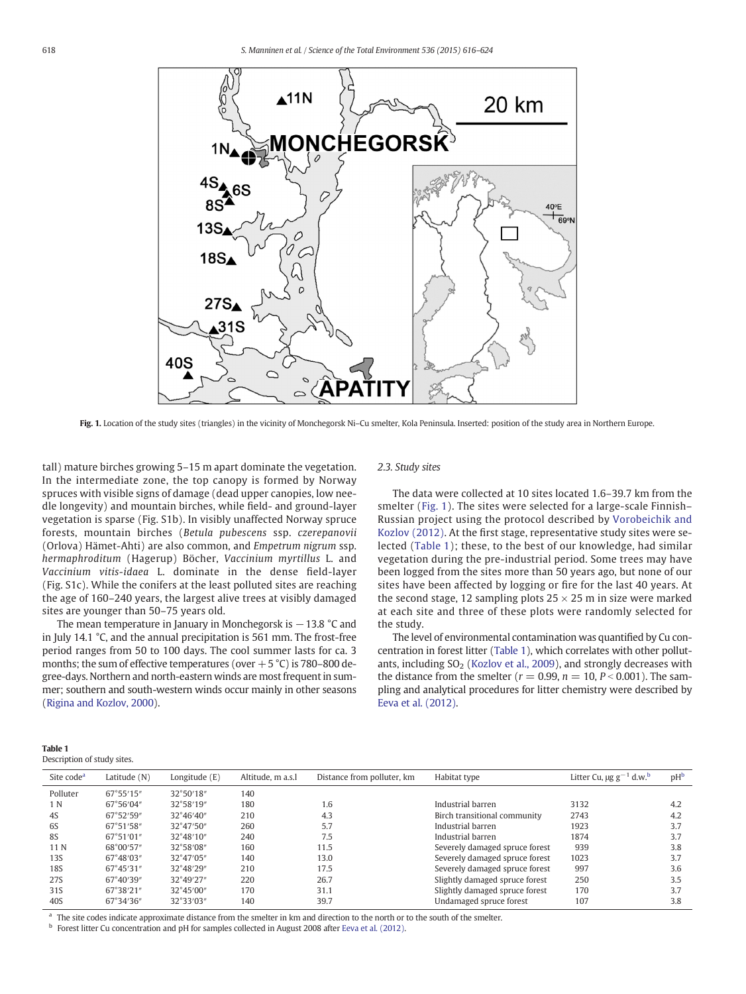<span id="page-2-0"></span>

Fig. 1. Location of the study sites (triangles) in the vicinity of Monchegorsk Ni-Cu smelter, Kola Peninsula. Inserted: position of the study area in Northern Europe.

tall) mature birches growing 5–15 m apart dominate the vegetation. In the intermediate zone, the top canopy is formed by Norway spruces with visible signs of damage (dead upper canopies, low needle longevity) and mountain birches, while field- and ground-layer vegetation is sparse (Fig. S1b). In visibly unaffected Norway spruce forests, mountain birches (Betula pubescens ssp. czerepanovii (Orlova) Hämet-Ahti) are also common, and Empetrum nigrum ssp. hermaphroditum (Hagerup) Böcher, Vaccinium myrtillus L. and Vaccinium vitis-idaea L. dominate in the dense field-layer (Fig. S1c). While the conifers at the least polluted sites are reaching the age of 160–240 years, the largest alive trees at visibly damaged sites are younger than 50–75 years old.

The mean temperature in January in Monchegorsk is −13.8 °C and in July 14.1 °C, and the annual precipitation is 561 mm. The frost-free period ranges from 50 to 100 days. The cool summer lasts for ca. 3 months; the sum of effective temperatures (over  $+5$  °C) is 780–800 degree-days. Northern and north-eastern winds are most frequent in summer; southern and south-western winds occur mainly in other seasons [\(Rigina and Kozlov, 2000\)](#page-7-0).

# 2.3. Study sites

The data were collected at 10 sites located 1.6–39.7 km from the smelter (Fig. 1). The sites were selected for a large-scale Finnish– Russian project using the protocol described by [Vorobeichik and](#page-7-0) [Kozlov \(2012\).](#page-7-0) At the first stage, representative study sites were selected (Table 1); these, to the best of our knowledge, had similar vegetation during the pre-industrial period. Some trees may have been logged from the sites more than 50 years ago, but none of our sites have been affected by logging or fire for the last 40 years. At the second stage, 12 sampling plots  $25 \times 25$  m in size were marked at each site and three of these plots were randomly selected for the study.

The level of environmental contamination was quantified by Cu concentration in forest litter (Table 1), which correlates with other pollutants, including  $SO<sub>2</sub>$  [\(Kozlov et al., 2009](#page-7-0)), and strongly decreases with the distance from the smelter ( $r = 0.99$ ,  $n = 10$ ,  $P < 0.001$ ). The sampling and analytical procedures for litter chemistry were described by [Eeva et al. \(2012\)](#page-7-0).

| Table 1 |                             |  |
|---------|-----------------------------|--|
|         | Description of study sites. |  |

| Site code <sup>a</sup> | Latitude (N) | Longitude $(E)$     | Altitude, m a.s.l | Distance from polluter, km | Habitat type                   | Litter Cu, $\mu$ g g <sup>-1</sup> d.w. <sup>b</sup> | pH <sub>b</sub> |
|------------------------|--------------|---------------------|-------------------|----------------------------|--------------------------------|------------------------------------------------------|-----------------|
| Polluter               | 67°55'15"    | 32°50'18"           | 140               |                            |                                |                                                      |                 |
| 1 N                    | 67°56′04″    | 32°58'19"           | 180               | 1.6                        | Industrial barren              | 3132                                                 | 4.2             |
| 4S                     | 67°52'59"    | $32^{\circ}46'40''$ | 210               | 4.3                        | Birch transitional community   | 2743                                                 | 4.2             |
| 6S                     | 67°51′58″    | $32^{\circ}47'50''$ | 260               | 5.7                        | Industrial barren              | 1923                                                 | 3.7             |
| <b>8S</b>              | 67°51′01″    | $32^{\circ}48'10''$ | 240               | 7.5                        | Industrial barren              | 1874                                                 | 3.7             |
| 11 N                   | 68°00'57"    | 32°58′08″           | 160               | 11.5                       | Severely damaged spruce forest | 939                                                  | 3.8             |
| 13S                    | 67°48′03″    | 32°47′05″           | 140               | 13.0                       | Severely damaged spruce forest | 1023                                                 | 3.7             |
| 18S                    | 67°45′31″    | 32°48'29"           | 210               | 17.5                       | Severely damaged spruce forest | 997                                                  | 3.6             |
| 27S                    | 67°40'39"    | 32°49'27"           | 220               | 26.7                       | Slightly damaged spruce forest | 250                                                  | 3.5             |
| 31S                    | 67°38'21″    | $32^{\circ}45'00''$ | 170               | 31.1                       | Slightly damaged spruce forest | 170                                                  | 3.7             |
| 40S                    | 67°34'36"    | 32°33'03"           | 140               | 39.7                       | Undamaged spruce forest        | 107                                                  | 3.8             |

The site codes indicate approximate distance from the smelter in km and direction to the north or to the south of the smelter.

<sup>b</sup> Forest litter Cu concentration and pH for samples collected in August 2008 after [Eeva et al. \(2012\).](#page-7-0)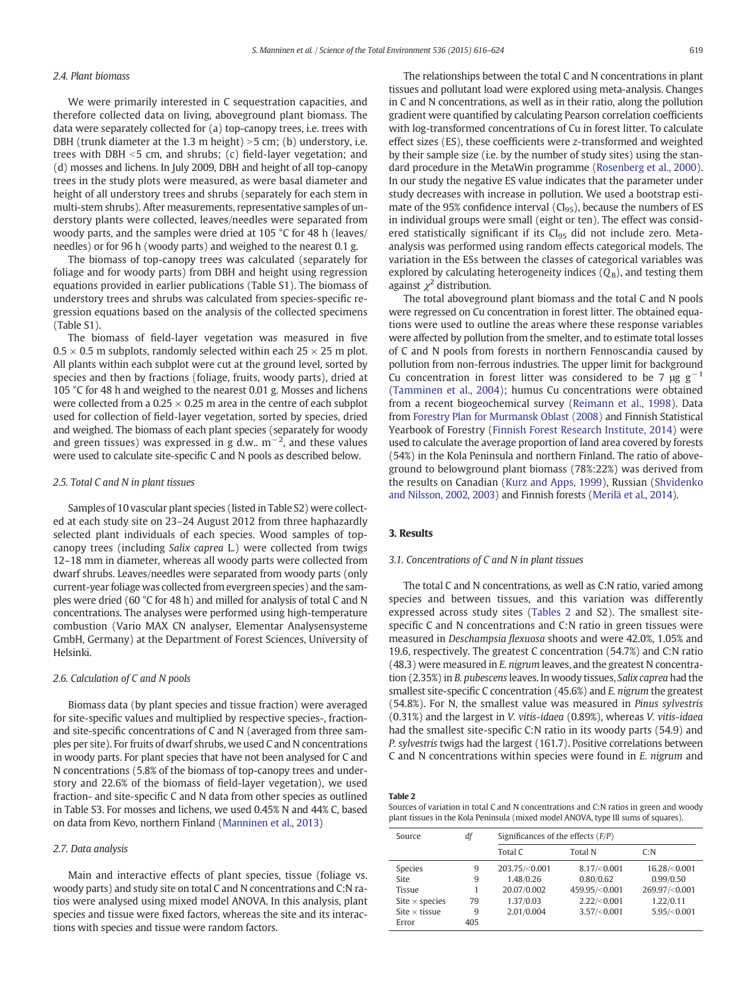# 2.4. Plant biomass

We were primarily interested in C sequestration capacities, and therefore collected data on living, aboveground plant biomass. The data were separately collected for (a) top-canopy trees, i.e. trees with DBH (trunk diameter at the 1.3 m height)  $>$  5 cm; (b) understory, i.e. trees with DBH  $<$  5 cm, and shrubs; (c) field-layer vegetation; and (d) mosses and lichens. In July 2009, DBH and height of all top-canopy trees in the study plots were measured, as were basal diameter and height of all understory trees and shrubs (separately for each stem in multi-stem shrubs). After measurements, representative samples of understory plants were collected, leaves/needles were separated from woody parts, and the samples were dried at 105 °C for 48 h (leaves/ needles) or for 96 h (woody parts) and weighed to the nearest 0.1 g.

The biomass of top-canopy trees was calculated (separately for foliage and for woody parts) from DBH and height using regression equations provided in earlier publications (Table S1). The biomass of understory trees and shrubs was calculated from species-specific regression equations based on the analysis of the collected specimens (Table S1).

The biomass of field-layer vegetation was measured in five  $0.5 \times 0.5$  m subplots, randomly selected within each 25  $\times$  25 m plot. All plants within each subplot were cut at the ground level, sorted by species and then by fractions (foliage, fruits, woody parts), dried at 105 °C for 48 h and weighed to the nearest 0.01 g. Mosses and lichens were collected from a  $0.25 \times 0.25$  m area in the centre of each subplot used for collection of field-layer vegetation, sorted by species, dried and weighed. The biomass of each plant species (separately for woody and green tissues) was expressed in g d.w..  $\rm m^{-2}$ , and these values were used to calculate site-specific C and N pools as described below.

#### 2.5. Total C and N in plant tissues

Samples of 10 vascular plant species (listed in Table S2) were collected at each study site on 23–24 August 2012 from three haphazardly selected plant individuals of each species. Wood samples of topcanopy trees (including Salix caprea L.) were collected from twigs 12–18 mm in diameter, whereas all woody parts were collected from dwarf shrubs. Leaves/needles were separated from woody parts (only current-year foliage was collected from evergreen species) and the samples were dried (60 °C for 48 h) and milled for analysis of total C and N concentrations. The analyses were performed using high-temperature combustion (Vario MAX CN analyser, Elementar Analysensysteme GmbH, Germany) at the Department of Forest Sciences, University of Helsinki.

# 2.6. Calculation of C and N pools

Biomass data (by plant species and tissue fraction) were averaged for site-specific values and multiplied by respective species-, fractionand site-specific concentrations of C and N (averaged from three samples per site). For fruits of dwarf shrubs, we used C and N concentrations in woody parts. For plant species that have not been analysed for C and N concentrations (5.8% of the biomass of top-canopy trees and understory and 22.6% of the biomass of field-layer vegetation), we used fraction- and site-specific C and N data from other species as outlined in Table S3. For mosses and lichens, we used 0.45% N and 44% C, based on data from Kevo, northern Finland ([Manninen et al., 2013\)](#page-7-0)

#### 2.7. Data analysis

Main and interactive effects of plant species, tissue (foliage vs. woody parts) and study site on total C and N concentrations and C:N ratios were analysed using mixed model ANOVA. In this analysis, plant species and tissue were fixed factors, whereas the site and its interactions with species and tissue were random factors.

The relationships between the total C and N concentrations in plant tissues and pollutant load were explored using meta-analysis. Changes in C and N concentrations, as well as in their ratio, along the pollution gradient were quantified by calculating Pearson correlation coefficients with log-transformed concentrations of Cu in forest litter. To calculate effect sizes (ES), these coefficients were z-transformed and weighted by their sample size (i.e. by the number of study sites) using the standard procedure in the MetaWin programme [\(Rosenberg et al., 2000](#page-7-0)). In our study the negative ES value indicates that the parameter under study decreases with increase in pollution. We used a bootstrap estimate of the 95% confidence interval  $(CI_{95})$ , because the numbers of ES in individual groups were small (eight or ten). The effect was considered statistically significant if its CI<sub>95</sub> did not include zero. Metaanalysis was performed using random effects categorical models. The variation in the ESs between the classes of categorical variables was explored by calculating heterogeneity indices  $(Q_B)$ , and testing them against  $\chi^2$  distribution.

The total aboveground plant biomass and the total C and N pools were regressed on Cu concentration in forest litter. The obtained equations were used to outline the areas where these response variables were affected by pollution from the smelter, and to estimate total losses of C and N pools from forests in northern Fennoscandia caused by pollution from non-ferrous industries. The upper limit for background Cu concentration in forest litter was considered to be 7  $\mu$ g g<sup>-1</sup> [\(Tamminen et al., 2004](#page-7-0)); humus Cu concentrations were obtained from a recent biogeochemical survey ([Reimann et al., 1998](#page-7-0)). Data from [Forestry Plan for Murmansk Oblast \(2008\)](#page-7-0) and Finnish Statistical Yearbook of Forestry ([Finnish Forest Research Institute, 2014](#page-7-0)) were used to calculate the average proportion of land area covered by forests (54%) in the Kola Peninsula and northern Finland. The ratio of aboveground to belowground plant biomass (78%:22%) was derived from the results on Canadian ([Kurz and Apps, 1999\)](#page-7-0), Russian ([Shvidenko](#page-7-0) [and Nilsson, 2002, 2003](#page-7-0)) and Finnish forests [\(Merilä et al., 2014\)](#page-7-0).

# 3. Results

# 3.1. Concentrations of C and N in plant tissues

The total C and N concentrations, as well as C:N ratio, varied among species and between tissues, and this variation was differently expressed across study sites (Tables 2 and S2). The smallest sitespecific C and N concentrations and C:N ratio in green tissues were measured in Deschampsia flexuosa shoots and were 42.0%, 1.05% and 19.6, respectively. The greatest C concentration (54.7%) and C:N ratio (48.3) were measured in E. nigrum leaves, and the greatest N concentration (2.35%) in B. pubescens leaves. In woody tissues, Salix caprea had the smallest site-specific C concentration (45.6%) and E. nigrum the greatest (54.8%). For N, the smallest value was measured in Pinus sylvestris (0.31%) and the largest in V. vitis-idaea (0.89%), whereas V. vitis-idaea had the smallest site-specific C:N ratio in its woody parts (54.9) and P. sylvestris twigs had the largest (161.7). Positive correlations between C and N concentrations within species were found in E. nigrum and

Table 2

Sources of variation in total C and N concentrations and C:N ratios in green and woody plant tissues in the Kola Peninsula (mixed model ANOVA, type III sums of squares).

| Source                | df  | Significances of the effects $(F/P)$ |                |                |  |
|-----------------------|-----|--------------------------------------|----------------|----------------|--|
|                       |     | Total C                              | <b>Total N</b> | C: N           |  |
| <b>Species</b>        | 9   | 203.75/<0.001                        | 8.17/ < 0.001  | 16.28/<0.001   |  |
| Site                  | 9   | 1.48/0.26                            | 0.80/0.62      | 0.99/0.50      |  |
| <b>Tissue</b>         |     | 20.07/0.002                          | 459.95/<0.001  | 269.97/<0.001  |  |
| Site $\times$ species | 79  | 1.37/0.03                            | 2.22 / < 0.001 | 1.22/0.11      |  |
| Site $\times$ tissue  | 9   | 2.01/0.004                           | 3.57 / < 0.001 | 5.95 / < 0.001 |  |
| Error                 | 405 |                                      |                |                |  |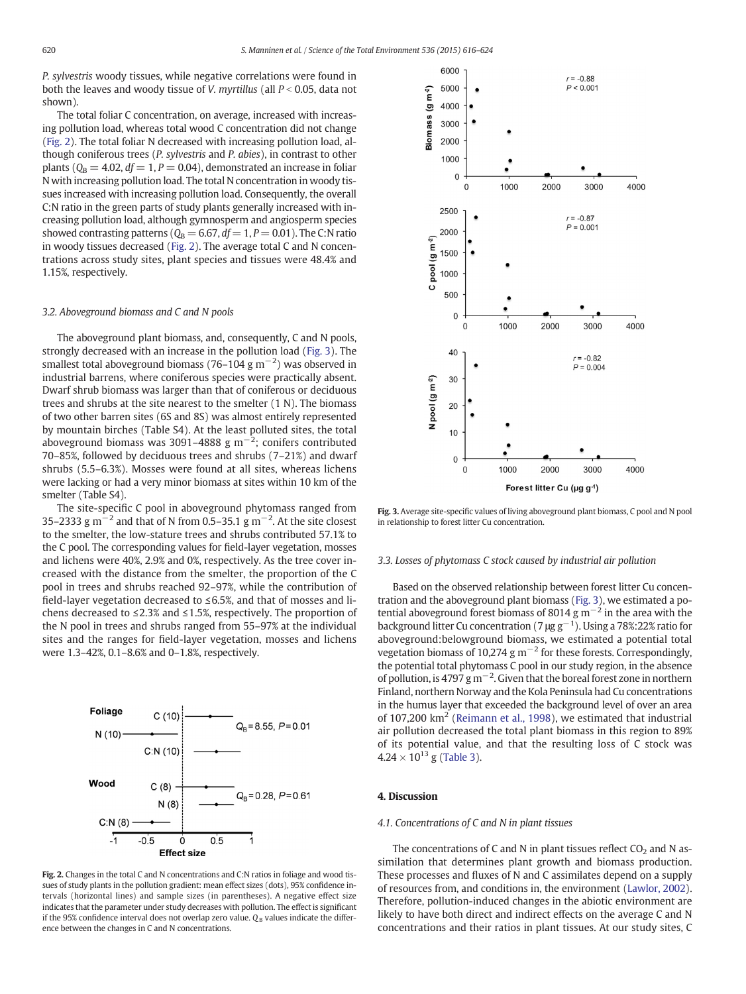P. sylvestris woody tissues, while negative correlations were found in both the leaves and woody tissue of *V. myrtillus* (all  $P < 0.05$ , data not shown).

The total foliar C concentration, on average, increased with increasing pollution load, whereas total wood C concentration did not change (Fig. 2). The total foliar N decreased with increasing pollution load, although coniferous trees (P. sylvestris and P. abies), in contrast to other plants ( $Q_B = 4.02$ ,  $df = 1$ ,  $P = 0.04$ ), demonstrated an increase in foliar N with increasing pollution load. The total N concentration in woody tissues increased with increasing pollution load. Consequently, the overall C:N ratio in the green parts of study plants generally increased with increasing pollution load, although gymnosperm and angiosperm species showed contrasting patterns ( $Q_B = 6.67$ ,  $df = 1$ ,  $P = 0.01$ ). The C:N ratio in woody tissues decreased (Fig. 2). The average total C and N concentrations across study sites, plant species and tissues were 48.4% and 1.15%, respectively.

# 3.2. Aboveground biomass and C and N pools

The aboveground plant biomass, and, consequently, C and N pools, strongly decreased with an increase in the pollution load (Fig. 3). The smallest total aboveground biomass (76–104 g m<sup>-2</sup>) was observed in industrial barrens, where coniferous species were practically absent. Dwarf shrub biomass was larger than that of coniferous or deciduous trees and shrubs at the site nearest to the smelter (1 N). The biomass of two other barren sites (6S and 8S) was almost entirely represented by mountain birches (Table S4). At the least polluted sites, the total aboveground biomass was 3091–4888 g m<sup>-2</sup>; conifers contributed 70–85%, followed by deciduous trees and shrubs (7–21%) and dwarf shrubs (5.5–6.3%). Mosses were found at all sites, whereas lichens were lacking or had a very minor biomass at sites within 10 km of the smelter (Table S4).

The site-specific C pool in aboveground phytomass ranged from 35–2333 g m<sup>-2</sup> and that of N from 0.5–35.1 g m<sup>-2</sup>. At the site closest to the smelter, the low-stature trees and shrubs contributed 57.1% to the C pool. The corresponding values for field-layer vegetation, mosses and lichens were 40%, 2.9% and 0%, respectively. As the tree cover increased with the distance from the smelter, the proportion of the C pool in trees and shrubs reached 92–97%, while the contribution of field-layer vegetation decreased to ≤6.5%, and that of mosses and lichens decreased to ≤2.3% and ≤1.5%, respectively. The proportion of the N pool in trees and shrubs ranged from 55–97% at the individual sites and the ranges for field-layer vegetation, mosses and lichens were 1.3–42%, 0.1–8.6% and 0–1.8%, respectively.



Fig. 2. Changes in the total C and N concentrations and C:N ratios in foliage and wood tissues of study plants in the pollution gradient: mean effect sizes (dots), 95% confidence intervals (horizontal lines) and sample sizes (in parentheses). A negative effect size indicates that the parameter under study decreases with pollution. The effect is significant if the 95% confidence interval does not overlap zero value.  $Q_B$  values indicate the difference between the changes in C and N concentrations.



Fig. 3. Average site-specific values of living aboveground plant biomass, C pool and N pool in relationship to forest litter Cu concentration.

# 3.3. Losses of phytomass C stock caused by industrial air pollution

Based on the observed relationship between forest litter Cu concentration and the aboveground plant biomass (Fig. 3), we estimated a potential aboveground forest biomass of 8014 g  $m^{-2}$  in the area with the background litter Cu concentration (7  $\mu$ g g<sup>-1</sup>). Using a 78%:22% ratio for aboveground:belowground biomass, we estimated a potential total vegetation biomass of 10,274 g  $m^{-2}$  for these forests. Correspondingly, the potential total phytomass C pool in our study region, in the absence of pollution, is 4797 g m−<sup>2</sup> . Given that the boreal forest zone in northern Finland, northern Norway and the Kola Peninsula had Cu concentrations in the humus layer that exceeded the background level of over an area of 107,200  $\text{km}^2$  [\(Reimann et al., 1998](#page-7-0)), we estimated that industrial air pollution decreased the total plant biomass in this region to 89% of its potential value, and that the resulting loss of C stock was  $4.24 \times 10^{13}$  g [\(Table 3\)](#page-5-0).

# 4. Discussion

# 4.1. Concentrations of C and N in plant tissues

The concentrations of C and N in plant tissues reflect  $CO<sub>2</sub>$  and N assimilation that determines plant growth and biomass production. These processes and fluxes of N and C assimilates depend on a supply of resources from, and conditions in, the environment [\(Lawlor, 2002](#page-7-0)). Therefore, pollution-induced changes in the abiotic environment are likely to have both direct and indirect effects on the average C and N concentrations and their ratios in plant tissues. At our study sites, C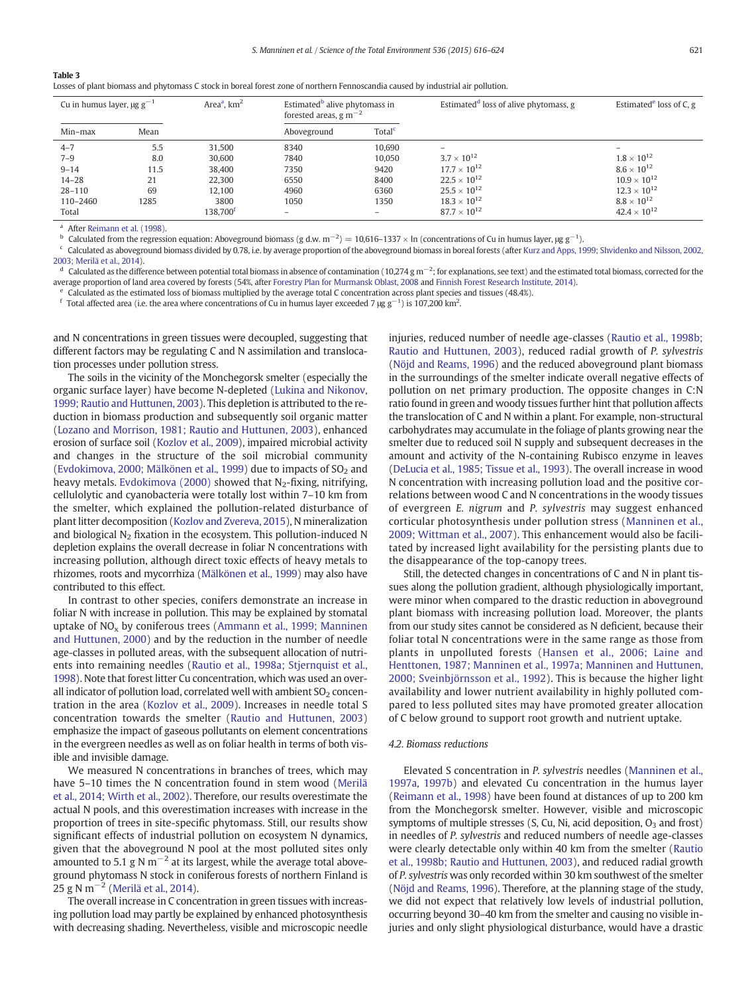#### <span id="page-5-0"></span>Table 3

Losses of plant biomass and phytomass C stock in boreal forest zone of northern Fennoscandia caused by industrial air pollution.

| Cu in humus layer, $\mu$ g g <sup>-1</sup> |      | Area <sup>a</sup> , $km2$ | Estimated <sup>b</sup> alive phytomass in<br>forested areas, $g m^{-2}$ |                    | Estimated <sup>d</sup> loss of alive phytomass, g | Estimated <sup>e</sup> loss of C, $g$ |
|--------------------------------------------|------|---------------------------|-------------------------------------------------------------------------|--------------------|---------------------------------------------------|---------------------------------------|
| Min-max                                    | Mean |                           | Aboveground                                                             | Total <sup>c</sup> |                                                   |                                       |
| $4 - 7$                                    | 5.5  | 31.500                    | 8340                                                                    | 10.690             |                                                   |                                       |
| $7 - 9$                                    | 8.0  | 30,600                    | 7840                                                                    | 10.050             | $3.7 \times 10^{12}$                              | $1.8 \times 10^{12}$                  |
| $9 - 14$                                   | 11.5 | 38,400                    | 7350                                                                    | 9420               | $17.7 \times 10^{12}$                             | $8.6 \times 10^{12}$                  |
| $14 - 28$                                  | 21   | 22,300                    | 6550                                                                    | 8400               | $22.5 \times 10^{12}$                             | $10.9 \times 10^{12}$                 |
| $28 - 110$                                 | 69   | 12.100                    | 4960                                                                    | 6360               | $25.5 \times 10^{12}$                             | $12.3 \times 10^{12}$                 |
| 110-2460                                   | 1285 | 3800                      | 1050                                                                    | 1350               | $18.3 \times 10^{12}$                             | $8.8 \times 10^{12}$                  |
| Total                                      |      | $138.700^{\mathrm{t}}$    |                                                                         |                    | $87.7 \times 10^{12}$                             | $42.4 \times 10^{12}$                 |

 $^{\text{a}}$  After [Reimann et al. \(1998\).](#page-7-0)

 $^{\rm b}$  Calculated from the regression equation: Aboveground biomass (g d.w. m<sup>−2</sup>) = 10,616–1337 × ln (concentrations of Cu in humus layer, µg g<sup>-1</sup>).

<sup>c</sup> Calculated as aboveground biomass divided by 0.78, i.e. by average proportion of the aboveground biomass in boreal forests (after [Kurz and Apps, 1999; Shvidenko and Nilsson, 2002,](#page-7-0) [2003; Merilä et al., 2014](#page-7-0)).

 $^d$  Calculated as the difference between potential total biomass in absence of contamination (10,274 g m<sup>-2</sup>; for explanations, see text) and the estimated total biomass, corrected for the average proportion of land area covered by forests (54%, after [Forestry Plan for Murmansk Oblast, 2008](#page-7-0) and [Finnish Forest Research Institute, 2014](#page-7-0)).

 $\epsilon$  Calculated as the estimated loss of biomass multiplied by the average total C concentration across plant species and tissues (48.4%).

<sup>f</sup> Total affected area (i.e. the area where concentrations of Cu in humus layer exceeded 7 µg g<sup>−1</sup>) is 107,200 km<sup>2</sup>.

and N concentrations in green tissues were decoupled, suggesting that different factors may be regulating C and N assimilation and translocation processes under pollution stress.

The soils in the vicinity of the Monchegorsk smelter (especially the organic surface layer) have become N-depleted [\(Lukina and Nikonov,](#page-7-0) [1999; Rautio and Huttunen, 2003\)](#page-7-0). This depletion is attributed to the reduction in biomass production and subsequently soil organic matter [\(Lozano and Morrison, 1981; Rautio and Huttunen, 2003\)](#page-7-0), enhanced erosion of surface soil [\(Kozlov et al., 2009](#page-7-0)), impaired microbial activity and changes in the structure of the soil microbial community [\(Evdokimova, 2000; Mälkönen et al., 1999\)](#page-7-0) due to impacts of  $SO<sub>2</sub>$  and heavy metals. [Evdokimova \(2000\)](#page-7-0) showed that  $N_2$ -fixing, nitrifying, cellulolytic and cyanobacteria were totally lost within 7–10 km from the smelter, which explained the pollution-related disturbance of plant litter decomposition ([Kozlov and Zvereva, 2015](#page-7-0)), N mineralization and biological  $N_2$  fixation in the ecosystem. This pollution-induced N depletion explains the overall decrease in foliar N concentrations with increasing pollution, although direct toxic effects of heavy metals to rhizomes, roots and mycorrhiza ([Mälkönen et al., 1999](#page-7-0)) may also have contributed to this effect.

In contrast to other species, conifers demonstrate an increase in foliar N with increase in pollution. This may be explained by stomatal uptake of  $NO<sub>x</sub>$  by coniferous trees ([Ammann et al., 1999; Manninen](#page-6-0) [and Huttunen, 2000\)](#page-6-0) and by the reduction in the number of needle age-classes in polluted areas, with the subsequent allocation of nutrients into remaining needles [\(Rautio et al., 1998a; Stjernquist et al.,](#page-7-0) [1998](#page-7-0)). Note that forest litter Cu concentration, which was used an overall indicator of pollution load, correlated well with ambient  $SO<sub>2</sub>$  concentration in the area ([Kozlov et al., 2009\)](#page-7-0). Increases in needle total S concentration towards the smelter [\(Rautio and Huttunen, 2003](#page-7-0)) emphasize the impact of gaseous pollutants on element concentrations in the evergreen needles as well as on foliar health in terms of both visible and invisible damage.

We measured N concentrations in branches of trees, which may have 5–10 times the N concentration found in stem wood ([Merilä](#page-7-0) [et al., 2014; Wirth et al., 2002\)](#page-7-0). Therefore, our results overestimate the actual N pools, and this overestimation increases with increase in the proportion of trees in site-specific phytomass. Still, our results show significant effects of industrial pollution on ecosystem N dynamics, given that the aboveground N pool at the most polluted sites only amounted to 5.1 g N m<sup> $-2$ </sup> at its largest, while the average total aboveground phytomass N stock in coniferous forests of northern Finland is 25 g N m<sup> $-2$ </sup> [\(Merilä et al., 2014\)](#page-7-0).

The overall increase in C concentration in green tissues with increasing pollution load may partly be explained by enhanced photosynthesis with decreasing shading. Nevertheless, visible and microscopic needle injuries, reduced number of needle age-classes [\(Rautio et al., 1998b;](#page-7-0) [Rautio and Huttunen, 2003](#page-7-0)), reduced radial growth of P. sylvestris [\(Nöjd and Reams, 1996\)](#page-7-0) and the reduced aboveground plant biomass in the surroundings of the smelter indicate overall negative effects of pollution on net primary production. The opposite changes in C:N ratio found in green and woody tissues further hint that pollution affects the translocation of C and N within a plant. For example, non-structural carbohydrates may accumulate in the foliage of plants growing near the smelter due to reduced soil N supply and subsequent decreases in the amount and activity of the N-containing Rubisco enzyme in leaves [\(DeLucia et al., 1985; Tissue et al., 1993](#page-7-0)). The overall increase in wood N concentration with increasing pollution load and the positive correlations between wood C and N concentrations in the woody tissues of evergreen E. nigrum and P. sylvestris may suggest enhanced corticular photosynthesis under pollution stress ([Manninen et al.,](#page-7-0) [2009; Wittman et al., 2007\)](#page-7-0). This enhancement would also be facilitated by increased light availability for the persisting plants due to the disappearance of the top-canopy trees.

Still, the detected changes in concentrations of C and N in plant tissues along the pollution gradient, although physiologically important, were minor when compared to the drastic reduction in aboveground plant biomass with increasing pollution load. Moreover, the plants from our study sites cannot be considered as N deficient, because their foliar total N concentrations were in the same range as those from plants in unpolluted forests [\(Hansen et al., 2006; Laine and](#page-7-0) [Henttonen, 1987; Manninen et al., 1997a; Manninen and Huttunen,](#page-7-0) [2000; Sveinbjörnsson et al., 1992](#page-7-0)). This is because the higher light availability and lower nutrient availability in highly polluted compared to less polluted sites may have promoted greater allocation of C below ground to support root growth and nutrient uptake.

# 4.2. Biomass reductions

Elevated S concentration in P. sylvestris needles [\(Manninen et al.,](#page-7-0) [1997a, 1997b\)](#page-7-0) and elevated Cu concentration in the humus layer [\(Reimann et al., 1998\)](#page-7-0) have been found at distances of up to 200 km from the Monchegorsk smelter. However, visible and microscopic symptoms of multiple stresses (S, Cu, Ni, acid deposition,  $O_3$  and frost) in needles of P. sylvestris and reduced numbers of needle age-classes were clearly detectable only within 40 km from the smelter ([Rautio](#page-7-0) [et al., 1998b; Rautio and Huttunen, 2003\)](#page-7-0), and reduced radial growth of P. sylvestris was only recorded within 30 km southwest of the smelter [\(Nöjd and Reams, 1996](#page-7-0)). Therefore, at the planning stage of the study, we did not expect that relatively low levels of industrial pollution, occurring beyond 30–40 km from the smelter and causing no visible injuries and only slight physiological disturbance, would have a drastic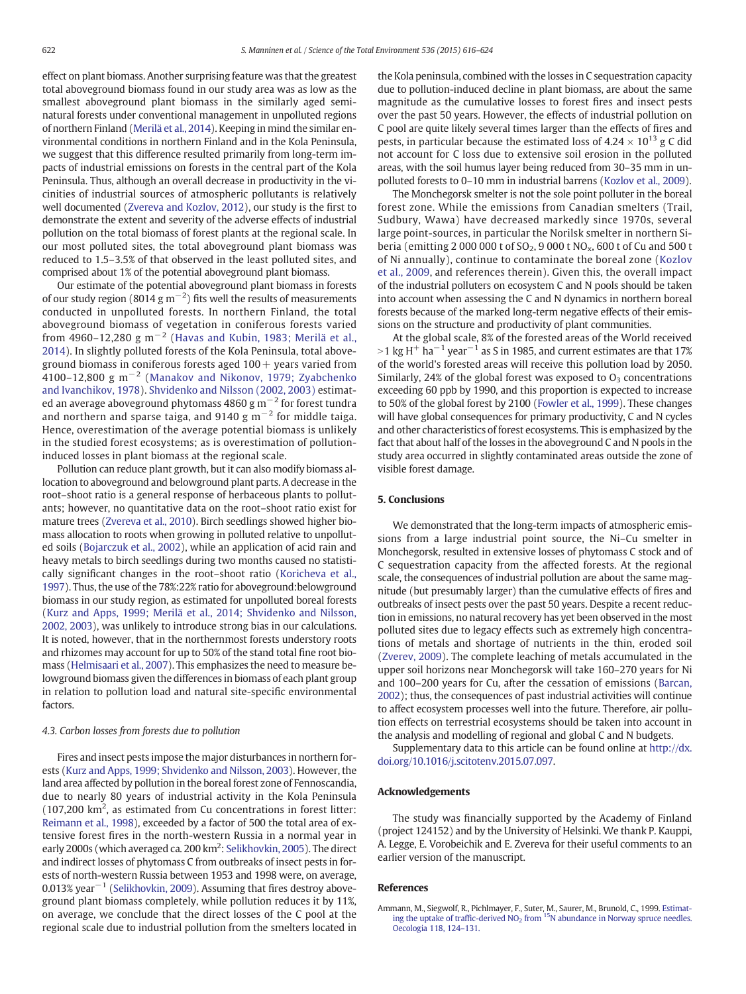<span id="page-6-0"></span>effect on plant biomass. Another surprising feature was that the greatest total aboveground biomass found in our study area was as low as the smallest aboveground plant biomass in the similarly aged seminatural forests under conventional management in unpolluted regions of northern Finland [\(Merilä et al., 2014](#page-7-0)). Keeping in mind the similar environmental conditions in northern Finland and in the Kola Peninsula, we suggest that this difference resulted primarily from long-term impacts of industrial emissions on forests in the central part of the Kola Peninsula. Thus, although an overall decrease in productivity in the vicinities of industrial sources of atmospheric pollutants is relatively well documented [\(Zvereva and Kozlov, 2012\)](#page-8-0), our study is the first to demonstrate the extent and severity of the adverse effects of industrial pollution on the total biomass of forest plants at the regional scale. In our most polluted sites, the total aboveground plant biomass was reduced to 1.5–3.5% of that observed in the least polluted sites, and comprised about 1% of the potential aboveground plant biomass.

Our estimate of the potential aboveground plant biomass in forests of our study region (8014 g m<sup>-2</sup>) fits well the results of measurements conducted in unpolluted forests. In northern Finland, the total aboveground biomass of vegetation in coniferous forests varied from 4960–12,280 g m<sup>-2</sup> ([Havas and Kubin, 1983; Merilä et al.,](#page-7-0) [2014](#page-7-0)). In slightly polluted forests of the Kola Peninsula, total aboveground biomass in coniferous forests aged  $100 +$  years varied from 4100–12,800 g m<sup>-2</sup> ([Manakov and Nikonov, 1979; Zyabchenko](#page-7-0) [and Ivanchikov, 1978\)](#page-7-0). [Shvidenko and Nilsson \(2002, 2003\)](#page-7-0) estimated an average aboveground phytomass 4860 g m $^{-2}$  for forest tundra and northern and sparse taiga, and 9140 g m<sup>−2</sup> for middle taiga. Hence, overestimation of the average potential biomass is unlikely in the studied forest ecosystems; as is overestimation of pollutioninduced losses in plant biomass at the regional scale.

Pollution can reduce plant growth, but it can also modify biomass allocation to aboveground and belowground plant parts. A decrease in the root–shoot ratio is a general response of herbaceous plants to pollutants; however, no quantitative data on the root–shoot ratio exist for mature trees ([Zvereva et al., 2010](#page-8-0)). Birch seedlings showed higher biomass allocation to roots when growing in polluted relative to unpolluted soils ([Bojarczuk et al., 2002](#page-7-0)), while an application of acid rain and heavy metals to birch seedlings during two months caused no statistically significant changes in the root–shoot ratio ([Koricheva et al.,](#page-7-0) [1997\)](#page-7-0). Thus, the use of the 78%:22% ratio for aboveground:belowground biomass in our study region, as estimated for unpolluted boreal forests [\(Kurz and Apps, 1999; Merilä et al., 2014; Shvidenko and Nilsson,](#page-7-0) [2002, 2003\)](#page-7-0), was unlikely to introduce strong bias in our calculations. It is noted, however, that in the northernmost forests understory roots and rhizomes may account for up to 50% of the stand total fine root biomass ([Helmisaari et al., 2007](#page-7-0)). This emphasizes the need to measure belowground biomass given the differences in biomass of each plant group in relation to pollution load and natural site-specific environmental factors.

# 4.3. Carbon losses from forests due to pollution

Fires and insect pests impose the major disturbances in northern forests ([Kurz and Apps, 1999; Shvidenko and Nilsson, 2003\)](#page-7-0). However, the land area affected by pollution in the boreal forest zone of Fennoscandia, due to nearly 80 years of industrial activity in the Kola Peninsula (107,200 km<sup>2</sup>, as estimated from Cu concentrations in forest litter: [Reimann et al., 1998\)](#page-7-0), exceeded by a factor of 500 the total area of extensive forest fires in the north-western Russia in a normal year in early 2000s (which averaged ca. 200 km<sup>2</sup>: [Selikhovkin, 2005](#page-7-0)). The direct and indirect losses of phytomass C from outbreaks of insect pests in forests of north-western Russia between 1953 and 1998 were, on average, 0.013% year<sup>-1</sup> ([Selikhovkin, 2009\)](#page-7-0). Assuming that fires destroy aboveground plant biomass completely, while pollution reduces it by 11%, on average, we conclude that the direct losses of the C pool at the regional scale due to industrial pollution from the smelters located in the Kola peninsula, combined with the losses in C sequestration capacity due to pollution-induced decline in plant biomass, are about the same magnitude as the cumulative losses to forest fires and insect pests over the past 50 years. However, the effects of industrial pollution on C pool are quite likely several times larger than the effects of fires and pests, in particular because the estimated loss of  $4.24 \times 10^{13}$  g C did not account for C loss due to extensive soil erosion in the polluted areas, with the soil humus layer being reduced from 30–35 mm in unpolluted forests to 0–10 mm in industrial barrens [\(Kozlov et al., 2009](#page-7-0)).

The Monchegorsk smelter is not the sole point polluter in the boreal forest zone. While the emissions from Canadian smelters (Trail, Sudbury, Wawa) have decreased markedly since 1970s, several large point-sources, in particular the Norilsk smelter in northern Siberia (emitting 2 000 000 t of SO<sub>2</sub>, 9 000 t NO<sub>x</sub>, 600 t of Cu and 500 t of Ni annually), continue to contaminate the boreal zone ([Kozlov](#page-7-0) [et al., 2009](#page-7-0), and references therein). Given this, the overall impact of the industrial polluters on ecosystem C and N pools should be taken into account when assessing the C and N dynamics in northern boreal forests because of the marked long-term negative effects of their emissions on the structure and productivity of plant communities.

At the global scale, 8% of the forested areas of the World received >1 kg H<sup>+</sup> ha<sup>-1</sup> year<sup>-1</sup> as S in 1985, and current estimates are that 17% of the world's forested areas will receive this pollution load by 2050. Similarly, 24% of the global forest was exposed to  $O<sub>3</sub>$  concentrations exceeding 60 ppb by 1990, and this proportion is expected to increase to 50% of the global forest by 2100 [\(Fowler et al., 1999](#page-7-0)). These changes will have global consequences for primary productivity, C and N cycles and other characteristics of forest ecosystems. This is emphasized by the fact that about half of the losses in the aboveground C and N pools in the study area occurred in slightly contaminated areas outside the zone of visible forest damage.

# 5. Conclusions

We demonstrated that the long-term impacts of atmospheric emissions from a large industrial point source, the Ni–Cu smelter in Monchegorsk, resulted in extensive losses of phytomass C stock and of C sequestration capacity from the affected forests. At the regional scale, the consequences of industrial pollution are about the same magnitude (but presumably larger) than the cumulative effects of fires and outbreaks of insect pests over the past 50 years. Despite a recent reduction in emissions, no natural recovery has yet been observed in the most polluted sites due to legacy effects such as extremely high concentrations of metals and shortage of nutrients in the thin, eroded soil [\(Zverev, 2009\)](#page-7-0). The complete leaching of metals accumulated in the upper soil horizons near Monchegorsk will take 160–270 years for Ni and 100–200 years for Cu, after the cessation of emissions ([Barcan,](#page-7-0) [2002\)](#page-7-0); thus, the consequences of past industrial activities will continue to affect ecosystem processes well into the future. Therefore, air pollution effects on terrestrial ecosystems should be taken into account in the analysis and modelling of regional and global C and N budgets.

Supplementary data to this article can be found online at [http://dx.](http://dx.doi.org/10.1016/j.scitotenv.2015.07.097) [doi.org/10.1016/j.scitotenv.2015.07.097.](http://dx.doi.org/10.1016/j.scitotenv.2015.07.097)

# Acknowledgements

The study was financially supported by the Academy of Finland (project 124152) and by the University of Helsinki. We thank P. Kauppi, A. Legge, E. Vorobeichik and E. Zvereva for their useful comments to an earlier version of the manuscript.

# **References**

Ammann, M., Siegwolf, R., Pichlmayer, F., Suter, M., Saurer, M., Brunold, C., 1999. [Estimat](http://refhub.elsevier.com/S0048-9697(15)30439-3/rf0005)[ing the uptake of traf](http://refhub.elsevier.com/S0048-9697(15)30439-3/rf0005)fic-derived  $NO<sub>2</sub>$  [from](http://refhub.elsevier.com/S0048-9697(15)30439-3/rf0005)  $15N$  abundance in Norway spruce needles. [Oecologia 118, 124](http://refhub.elsevier.com/S0048-9697(15)30439-3/rf0005)–131.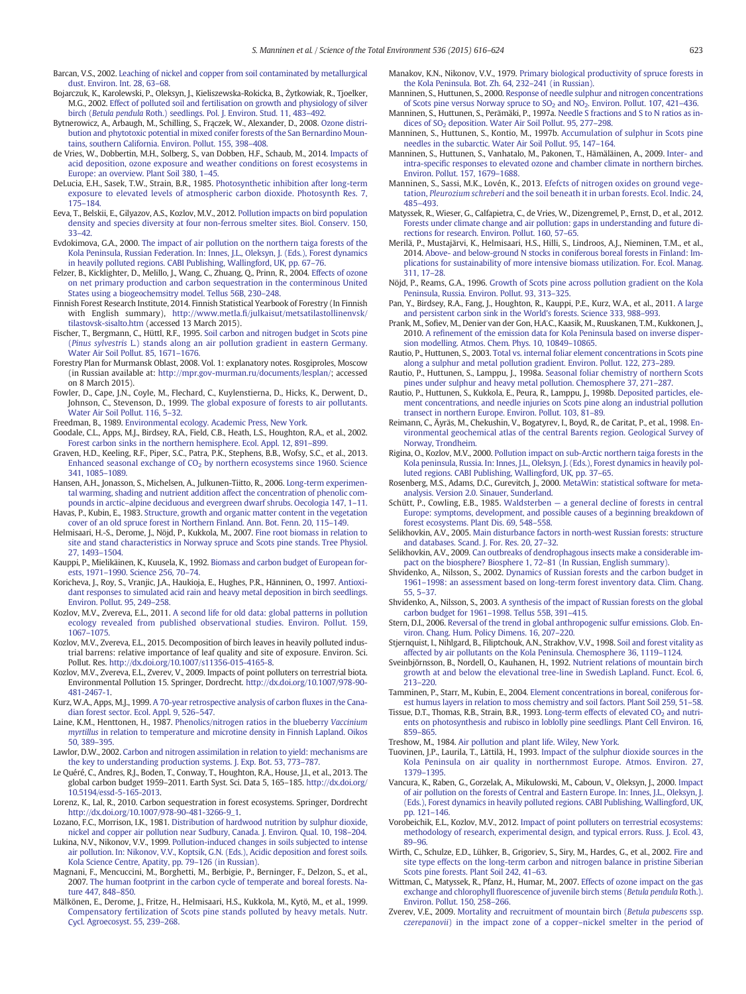<span id="page-7-0"></span>Barcan, V.S., 2002. [Leaching of nickel and copper from soil contaminated by metallurgical](http://refhub.elsevier.com/S0048-9697(15)30439-3/rf0010) [dust. Environ. Int. 28, 63](http://refhub.elsevier.com/S0048-9697(15)30439-3/rf0010)–68.

- Bojarczuk, K., Karolewski, P., Oleksyn, J., Kieliszewska-Rokicka, B., Żytkowiak, R., Tjoelker, M.G., 2002. [Effect of polluted soil and fertilisation on growth and physiology of silver](http://refhub.elsevier.com/S0048-9697(15)30439-3/rf0015) birch (Betula pendula [Roth.\) seedlings. Pol. J. Environ. Stud. 11, 483](http://refhub.elsevier.com/S0048-9697(15)30439-3/rf0015)–492.
- Bytnerowicz, A., Arbaugh, M., Schilling, S., Frączek, W., Alexander, D., 2008. [Ozone distri](http://refhub.elsevier.com/S0048-9697(15)30439-3/rf0020)[bution and phytotoxic potential in mixed conifer forests of the San Bernardino Moun](http://refhub.elsevier.com/S0048-9697(15)30439-3/rf0020)[tains, southern California. Environ. Pollut. 155, 398](http://refhub.elsevier.com/S0048-9697(15)30439-3/rf0020)–408.
- de Vries, W., Dobbertin, M.H., Solberg, S., van Dobben, H.F., Schaub, M., 2014. [Impacts of](http://refhub.elsevier.com/S0048-9697(15)30439-3/rf0030) [acid deposition, ozone exposure and weather conditions on forest ecosystems in](http://refhub.elsevier.com/S0048-9697(15)30439-3/rf0030) [Europe: an overview. Plant Soil 380, 1](http://refhub.elsevier.com/S0048-9697(15)30439-3/rf0030)–45.
- DeLucia, E.H., Sasek, T.W., Strain, B.R., 1985. [Photosynthetic inhibition after long-term](http://refhub.elsevier.com/S0048-9697(15)30439-3/rf0025) [exposure to elevated levels of atmospheric carbon dioxide. Photosynth Res. 7,](http://refhub.elsevier.com/S0048-9697(15)30439-3/rf0025) [175](http://refhub.elsevier.com/S0048-9697(15)30439-3/rf0025)–184.
- Eeva, T., Belskii, E., Gilyazov, A.S., Kozlov, M.V., 2012. [Pollution impacts on bird population](http://refhub.elsevier.com/S0048-9697(15)30439-3/rf0035) [density and species diversity at four non-ferrous smelter sites. Biol. Conserv. 150,](http://refhub.elsevier.com/S0048-9697(15)30439-3/rf0035) [33](http://refhub.elsevier.com/S0048-9697(15)30439-3/rf0035)–42.
- Evdokimova, G.A., 2000. [The impact of air pollution on the northern taiga forests of the](http://refhub.elsevier.com/S0048-9697(15)30439-3/rf0040) [Kola Peninsula, Russian Federation. In: Innes, J.L., Oleksyn, J. \(Eds.\), Forest dynamics](http://refhub.elsevier.com/S0048-9697(15)30439-3/rf0040) [in heavily polluted regions. CABI Publishing, Wallingford, UK, pp. 67](http://refhub.elsevier.com/S0048-9697(15)30439-3/rf0040)–76.
- Felzer, B., Kicklighter, D., Melillo, J., Wang, C., Zhuang, Q., Prinn, R., 2004. [Effects of ozone](http://refhub.elsevier.com/S0048-9697(15)30439-3/rf0045) [on net primary production and carbon sequestration in the conterminous United](http://refhub.elsevier.com/S0048-9697(15)30439-3/rf0045) [States using a biogeochemsitry model. Tellus 56B, 230](http://refhub.elsevier.com/S0048-9697(15)30439-3/rf0045)–248.
- Finnish Forest Research Institute, 2014. Finnish Statistical Yearbook of Forestry (In Finnish with English summary), http://www.metla.fi[/julkaisut/metsatilastollinenvsk/](http://www.metla.fi/julkaisut/metsatilastollinenvsk/tilastovsk-sisalto.htm) [tilastovsk-sisalto.htm](http://www.metla.fi/julkaisut/metsatilastollinenvsk/tilastovsk-sisalto.htm) (accessed 13 March 2015).
- Fischer, T., Bergmann, C., Hüttl, R.F., 1995. [Soil carbon and nitrogen budget in Scots pine](http://refhub.elsevier.com/S0048-9697(15)30439-3/rf0050) (Pinus sylvestris [L.\) stands along an air pollution gradient in eastern Germany.](http://refhub.elsevier.com/S0048-9697(15)30439-3/rf0050) [Water Air Soil Pollut. 85, 1671](http://refhub.elsevier.com/S0048-9697(15)30439-3/rf0050)–1676.
- Forestry Plan for Murmansk Oblast, 2008. Vol. 1: explanatory notes. Rosgiproles, Moscow (in Russian available at: <http://mpr.gov-murman.ru/documents/lesplan/>; accessed on 8 March 2015).
- Fowler, D., Cape, J.N., Coyle, M., Flechard, C., Kuylenstierna, D., Hicks, K., Derwent, D., Johnson, C., Stevenson, D., 1999. [The global exposure of forests to air pollutants.](http://refhub.elsevier.com/S0048-9697(15)30439-3/rf0055) [Water Air Soil Pollut. 116, 5](http://refhub.elsevier.com/S0048-9697(15)30439-3/rf0055)–32.
- Freedman, B., 1989. [Environmental ecology. Academic Press, New York](http://refhub.elsevier.com/S0048-9697(15)30439-3/rf0060).
- Goodale, C.L., Apps, M.J., Birdsey, R.A., Field, C.B., Heath, L.S., Houghton, R.A., et al., 2002. [Forest carbon sinks in the northern hemisphere. Ecol. Appl. 12, 891](http://refhub.elsevier.com/S0048-9697(15)30439-3/rf0065)–899.
- Graven, H.D., Keeling, R.F., Piper, S.C., Patra, P.K., Stephens, B.B., Wofsy, S.C., et al., 2013. Enhanced seasonal exchange of  $CO<sub>2</sub>$  [by northern ecosystems since 1960. Science](http://refhub.elsevier.com/S0048-9697(15)30439-3/rf0070) [341, 1085](http://refhub.elsevier.com/S0048-9697(15)30439-3/rf0070)–1089.
- Hansen, A.H., Jonasson, S., Michelsen, A., Julkunen-Tiitto, R., 2006. [Long-term experimen](http://refhub.elsevier.com/S0048-9697(15)30439-3/rf0075)[tal warming, shading and nutrient addition affect the concentration of phenolic com](http://refhub.elsevier.com/S0048-9697(15)30439-3/rf0075)pounds in arctic–[alpine deciduous and evergreen dwarf shrubs. Oecologia 147, 1](http://refhub.elsevier.com/S0048-9697(15)30439-3/rf0075)–11.
- Havas, P., Kubin, E., 1983. [Structure, growth and organic matter content in the vegetation](http://refhub.elsevier.com/S0048-9697(15)30439-3/rf0080) [cover of an old spruce forest in Northern Finland. Ann. Bot. Fenn. 20, 115](http://refhub.elsevier.com/S0048-9697(15)30439-3/rf0080)–149.
- Helmisaari, H.-S., Derome, J., Nöjd, P., Kukkola, M., 2007. [Fine root biomass in relation to](http://refhub.elsevier.com/S0048-9697(15)30439-3/rf0085) [site and stand characteristics in Norway spruce and Scots pine stands. Tree Physiol.](http://refhub.elsevier.com/S0048-9697(15)30439-3/rf0085) [27, 1493](http://refhub.elsevier.com/S0048-9697(15)30439-3/rf0085)–1504.
- Kauppi, P., Mielikäinen, K., Kuusela, K., 1992. [Biomass and carbon budget of European for](http://refhub.elsevier.com/S0048-9697(15)30439-3/rf0090)ests, 1971–[1990. Science 256, 70](http://refhub.elsevier.com/S0048-9697(15)30439-3/rf0090)–74.
- Koricheva, J., Roy, S., Vranjic, J.A., Haukioja, E., Hughes, P.R., Hänninen, O., 1997. [Antioxi](http://refhub.elsevier.com/S0048-9697(15)30439-3/rf0095)[dant responses to simulated acid rain and heavy metal deposition in birch seedlings.](http://refhub.elsevier.com/S0048-9697(15)30439-3/rf0095) [Environ. Pollut. 95, 249](http://refhub.elsevier.com/S0048-9697(15)30439-3/rf0095)–258.
- Kozlov, M.V., Zvereva, E.L., 2011. [A second life for old data: global patterns in pollution](http://refhub.elsevier.com/S0048-9697(15)30439-3/rf0105) [ecology revealed from published observational studies. Environ. Pollut. 159,](http://refhub.elsevier.com/S0048-9697(15)30439-3/rf0105) [1067](http://refhub.elsevier.com/S0048-9697(15)30439-3/rf0105)–1075.
- Kozlov, M.V., Zvereva, E.L., 2015. Decomposition of birch leaves in heavily polluted industrial barrens: relative importance of leaf quality and site of exposure. Environ. Sci. Pollut. Res. http://dx.doi.org[/10.1007/s11356-015-4165-8](http://dx.doi.org/10.1007/s11356-015-4165-8).
- Kozlov, M.V., Zvereva, E.L., Zverev, V., 2009. Impacts of point polluters on terrestrial biota. Environmental Pollution 15. Springer, Dordrecht. http://dx.doi.org[/10.1007/978-90-](http://dx.doi.org/10.1007/978-90-481-2467-1) [481-2467-1.](http://dx.doi.org/10.1007/978-90-481-2467-1)
- Kurz, W.A., Apps, M.J., 1999. [A 70-year retrospective analysis of carbon](http://refhub.elsevier.com/S0048-9697(15)30439-3/rf0115) fluxes in the Cana[dian forest sector. Ecol. Appl. 9, 526](http://refhub.elsevier.com/S0048-9697(15)30439-3/rf0115)–547.
- Laine, K.M., Henttonen, H., 1987. [Phenolics/nitrogen ratios in the blueberry](http://refhub.elsevier.com/S0048-9697(15)30439-3/rf0120) Vaccinium myrtillus [in relation to temperature and microtine density in Finnish Lapland. Oikos](http://refhub.elsevier.com/S0048-9697(15)30439-3/rf0120) [50, 389](http://refhub.elsevier.com/S0048-9697(15)30439-3/rf0120)–395.
- Lawlor, D.W., 2002. [Carbon and nitrogen assimilation in relation to yield: mechanisms are](http://refhub.elsevier.com/S0048-9697(15)30439-3/rf0125) [the key to understanding production systems. J. Exp. Bot. 53, 773](http://refhub.elsevier.com/S0048-9697(15)30439-3/rf0125)–787.
- Le Quéré, C., Andres, R.J., Boden, T., Conway, T., Houghton, R.A., House, J.I., et al., 2013. The global carbon budget 1959–2011. Earth Syst. Sci. Data 5, 165–185. http://dx.doi.org/ [10.5194/essd-5-165-2013.](http://dx.doi.org/10.5194/essd-5-165-2013)
- Lorenz, K., Lal, R., 2010. Carbon sequestration in forest ecosystems. Springer, Dordrecht http://dx.doi.org[/10.1007/978-90-481-3266-9\\_1.](http://dx.doi.org/10.1007/978-90-481-3266-9_1)
- Lozano, F.C., Morrison, I.K., 1981. [Distribution of hardwood nutrition by sulphur dioxide,](http://refhub.elsevier.com/S0048-9697(15)30439-3/rf0140) [nickel and copper air pollution near Sudbury, Canada. J. Environ. Qual. 10, 198](http://refhub.elsevier.com/S0048-9697(15)30439-3/rf0140)–204.
- Lukina, N.V., Nikonov, V.V., 1999. [Pollution-induced changes in soils subjected to intense](http://refhub.elsevier.com/S0048-9697(15)30439-3/rf0145) [air pollution. In: Nikonov, V.V., Koptsik, G.N. \(Eds.\), Acidic deposition and forest soils.](http://refhub.elsevier.com/S0048-9697(15)30439-3/rf0145) [Kola Science Centre, Apatity, pp. 79](http://refhub.elsevier.com/S0048-9697(15)30439-3/rf0145)–126 (in Russian).
- Magnani, F., Mencuccini, M., Borghetti, M., Berbigie, P., Berninger, F., Delzon, S., et al., 2007. [The human footprint in the carbon cycle of temperate and boreal forests. Na](http://refhub.elsevier.com/S0048-9697(15)30439-3/rf0150)[ture 447, 848](http://refhub.elsevier.com/S0048-9697(15)30439-3/rf0150)-850.
- Mälkönen, E., Derome, J., Fritze, H., Helmisaari, H.S., Kukkola, M., Kytö, M., et al., 1999. [Compensatory fertilization of Scots pine stands polluted by heavy metals. Nutr.](http://refhub.elsevier.com/S0048-9697(15)30439-3/rf0155) [Cycl. Agroecosyst. 55, 239](http://refhub.elsevier.com/S0048-9697(15)30439-3/rf0155)–268.
- Manakov, K.N., Nikonov, V.V., 1979. [Primary biological productivity of spruce forests in](http://refhub.elsevier.com/S0048-9697(15)30439-3/rf0160) [the Kola Peninsula. Bot. Zh. 64, 232](http://refhub.elsevier.com/S0048-9697(15)30439-3/rf0160)–241 (in Russian).
- Manninen, S., Huttunen, S., 2000. [Response of needle sulphur and nitrogen concentrations](http://refhub.elsevier.com/S0048-9697(15)30439-3/rf0175) of Scots pine versus Norway spruce to SO<sub>2</sub> and NO<sub>2</sub>. Environ. Pollut. 107, 421-436. Manninen, S., Huttunen, S., Perämäki, P., 1997a. [Needle S fractions and S to N ratios as in-](http://refhub.elsevier.com/S0048-9697(15)30439-3/rf0165)
- dices of SO<sub>2</sub> [deposition. Water Air Soil Pollut. 95, 277](http://refhub.elsevier.com/S0048-9697(15)30439-3/rf0165)–298. Manninen, S., Huttunen, S., Kontio, M., 1997b. [Accumulation of sulphur in Scots pine](http://refhub.elsevier.com/S0048-9697(15)30439-3/rf0170)
- [needles in the subarctic. Water Air Soil Pollut. 95, 147](http://refhub.elsevier.com/S0048-9697(15)30439-3/rf0170)–164.
- Manninen, S., Huttunen, S., Vanhatalo, M., Pakonen, T., Hämäläinen, A., 2009. [Inter- and](http://refhub.elsevier.com/S0048-9697(15)30439-3/rf0180) intra-specifi[c responses to elevated ozone and chamber climate in northern birches.](http://refhub.elsevier.com/S0048-9697(15)30439-3/rf0180) [Environ. Pollut. 157, 1679](http://refhub.elsevier.com/S0048-9697(15)30439-3/rf0180)–1688.
- Manninen, S., Sassi, M.K., Lovén, K., 2013. [Efefcts of nitrogen oxides on ground vege](http://refhub.elsevier.com/S0048-9697(15)30439-3/rf0185)tation, Pleurozium schreberi [and the soil beneath it in urban forests. Ecol. Indic. 24,](http://refhub.elsevier.com/S0048-9697(15)30439-3/rf0185) 485–[493.](http://refhub.elsevier.com/S0048-9697(15)30439-3/rf0185)
- Matyssek, R., Wieser, G., Calfapietra, C., de Vries, W., Dizengremel, P., Ernst, D., et al., 2012. [Forests under climate change and air pollution: gaps in understanding and future di](http://refhub.elsevier.com/S0048-9697(15)30439-3/rf0190)[rections for research. Environ. Pollut. 160, 57](http://refhub.elsevier.com/S0048-9697(15)30439-3/rf0190)–65.
- Merilä, P., Mustajärvi, K., Helmisaari, H.S., Hilli, S., Lindroos, A.J., Nieminen, T.M., et al., 2014. [Above- and below-ground N stocks in coniferous boreal forests in Finland: Im](http://refhub.elsevier.com/S0048-9697(15)30439-3/rf0195)[plications for sustainability of more intensive biomass utilization. For. Ecol. Manag.](http://refhub.elsevier.com/S0048-9697(15)30439-3/rf0195) [311, 17](http://refhub.elsevier.com/S0048-9697(15)30439-3/rf0195)–28.
- Nöjd, P., Reams, G.A., 1996. [Growth of Scots pine across pollution gradient on the Kola](http://refhub.elsevier.com/S0048-9697(15)30439-3/rf0200) [Peninsula, Russia. Environ. Pollut. 93, 313](http://refhub.elsevier.com/S0048-9697(15)30439-3/rf0200)–325.
- Pan, Y., Birdsey, R.A., Fang, J., Houghton, R., Kauppi, P.E., Kurz, W.A., et al., 2011. [A large](http://refhub.elsevier.com/S0048-9697(15)30439-3/rf0205) [and persistent carbon sink in the World's forests. Science 333, 988](http://refhub.elsevier.com/S0048-9697(15)30439-3/rf0205)–993.
- Prank, M., Sofiev, M., Denier van der Gon, H.A.C., Kaasik, M., Ruuskanen, T.M., Kukkonen, J., 2010. A refi[nement of the emission data for Kola Peninsula based on inverse disper](http://refhub.elsevier.com/S0048-9697(15)30439-3/rf0210)[sion modelling. Atmos. Chem. Phys. 10, 10849](http://refhub.elsevier.com/S0048-9697(15)30439-3/rf0210)–10865.
- Rautio, P., Huttunen, S., 2003. [Total vs. internal foliar element concentrations in Scots pine](http://refhub.elsevier.com/S0048-9697(15)30439-3/rf0225) [along a sulphur and metal pollution gradient. Environ. Pollut. 122, 273](http://refhub.elsevier.com/S0048-9697(15)30439-3/rf0225)–289.
- Rautio, P., Huttunen, S., Lamppu, J., 1998a. [Seasonal foliar chemistry of northern Scots](http://refhub.elsevier.com/S0048-9697(15)30439-3/rf0215) [pines under sulphur and heavy metal pollution. Chemosphere 37, 271](http://refhub.elsevier.com/S0048-9697(15)30439-3/rf0215)–287.
- Rautio, P., Huttunen, S., Kukkola, E., Peura, R., Lamppu, J., 1998b. [Deposited particles, ele](http://refhub.elsevier.com/S0048-9697(15)30439-3/rf0220)[ment concentrations, and needle injuries on Scots pine along an industrial pollution](http://refhub.elsevier.com/S0048-9697(15)30439-3/rf0220) [transect in northern Europe. Environ. Pollut. 103, 81](http://refhub.elsevier.com/S0048-9697(15)30439-3/rf0220)–89.
- Reimann, C., Äyräs, M., Chekushin, V., Bogatyrev, I., Boyd, R., de Caritat, P., et al., 1998. [En](http://refhub.elsevier.com/S0048-9697(15)30439-3/rf0230)[vironmental geochemical atlas of the central Barents region. Geological Survey of](http://refhub.elsevier.com/S0048-9697(15)30439-3/rf0230) [Norway, Trondheim](http://refhub.elsevier.com/S0048-9697(15)30439-3/rf0230).
- Rigina, O., Kozlov, M.V., 2000. [Pollution impact on sub-Arctic northern taiga forests in the](http://refhub.elsevier.com/S0048-9697(15)30439-3/rf0235) [Kola peninsula, Russia. In: Innes, J.L., Oleksyn, J. \(Eds.\), Forest dynamics in heavily pol](http://refhub.elsevier.com/S0048-9697(15)30439-3/rf0235)[luted regions. CABI Publishing, Wallingford, UK, pp. 37](http://refhub.elsevier.com/S0048-9697(15)30439-3/rf0235)–65.
- Rosenberg, M.S., Adams, D.C., Gurevitch, J., 2000. [MetaWin: statistical software for meta](http://refhub.elsevier.com/S0048-9697(15)30439-3/rf0240)[analysis. Version 2.0. Sinauer, Sunderland](http://refhub.elsevier.com/S0048-9697(15)30439-3/rf0240).
- Schütt, P., Cowling, E.B., 1985. Waldsterben [a general decline of forests in central](http://refhub.elsevier.com/S0048-9697(15)30439-3/rf0245) [Europe: symptoms, development, and possible causes of a beginning breakdown of](http://refhub.elsevier.com/S0048-9697(15)30439-3/rf0245) [forest ecosystems. Plant Dis. 69, 548](http://refhub.elsevier.com/S0048-9697(15)30439-3/rf0245)–558.
- Selikhovkin, A.V., 2005. [Main disturbance factors in north-west Russian forests: structure](http://refhub.elsevier.com/S0048-9697(15)30439-3/rf0250) [and databases. Scand. J. For. Res. 20, 27](http://refhub.elsevier.com/S0048-9697(15)30439-3/rf0250)–32.
- Selikhovkin, A.V., 2009. [Can outbreaks of dendrophagous insects make a considerable im](http://refhub.elsevier.com/S0048-9697(15)30439-3/rf0350)[pact on the biosphere? Biosphere 1, 72](http://refhub.elsevier.com/S0048-9697(15)30439-3/rf0350)–81 (In Russian, English summary).
- Shvidenko, A., Nilsson, S., 2002. [Dynamics of Russian forests and the carbon budget in](http://refhub.elsevier.com/S0048-9697(15)30439-3/rf0255) 1961–[1998: an assessment based on long-term forest inventory data. Clim. Chang.](http://refhub.elsevier.com/S0048-9697(15)30439-3/rf0255) [55, 5](http://refhub.elsevier.com/S0048-9697(15)30439-3/rf0255)–37.
- Shvidenko, A., Nilsson, S., 2003. [A synthesis of the impact of Russian forests on the global](http://refhub.elsevier.com/S0048-9697(15)30439-3/rf0260) [carbon budget for 1961](http://refhub.elsevier.com/S0048-9697(15)30439-3/rf0260)–1998. Tellus 55B, 391–415.
- Stern, D.I., 2006. [Reversal of the trend in global anthropogenic sulfur emissions. Glob. En](http://refhub.elsevier.com/S0048-9697(15)30439-3/rf0265)[viron. Chang. Hum. Policy Dimens. 16, 207](http://refhub.elsevier.com/S0048-9697(15)30439-3/rf0265)–220.
- Stjernquist, I., Nihlgard, B., Filiptchouk, A.N., Strakhov, V.V., 1998. [Soil and forest vitality as](http://refhub.elsevier.com/S0048-9697(15)30439-3/rf0270) [affected by air pollutants on the Kola Peninsula. Chemosphere 36, 1119](http://refhub.elsevier.com/S0048-9697(15)30439-3/rf0270)–1124.
- Sveinbjörnsson, B., Nordell, O., Kauhanen, H., 1992. [Nutrient relations of mountain birch](http://refhub.elsevier.com/S0048-9697(15)30439-3/rf0275) [growth at and below the elevational tree-line in Swedish Lapland. Funct. Ecol. 6,](http://refhub.elsevier.com/S0048-9697(15)30439-3/rf0275) [213](http://refhub.elsevier.com/S0048-9697(15)30439-3/rf0275)–220.
- Tamminen, P., Starr, M., Kubin, E., 2004. [Element concentrations in boreal, coniferous for](http://refhub.elsevier.com/S0048-9697(15)30439-3/rf0280)[est humus layers in relation to moss chemistry and soil factors. Plant Soil 259, 51](http://refhub.elsevier.com/S0048-9697(15)30439-3/rf0280)–58.
- Tissue, D.T., Thomas, R.B., Strain, B.R., 1993. Long-term effects of elevated  $CO<sub>2</sub>$  [and nutri](http://refhub.elsevier.com/S0048-9697(15)30439-3/rf0285)[ents on photosynthesis and rubisco in loblolly pine seedlings. Plant Cell Environ. 16,](http://refhub.elsevier.com/S0048-9697(15)30439-3/rf0285) [859](http://refhub.elsevier.com/S0048-9697(15)30439-3/rf0285)–865.
- Treshow, M., 1984. [Air pollution and plant life. Wiley, New York](http://refhub.elsevier.com/S0048-9697(15)30439-3/rf0290).
- Tuovinen, J.P., Laurila, T., Lättilä, H., 1993. [Impact of the sulphur dioxide sources in the](http://refhub.elsevier.com/S0048-9697(15)30439-3/rf0295) [Kola Peninsula on air quality in northernmost Europe. Atmos. Environ. 27,](http://refhub.elsevier.com/S0048-9697(15)30439-3/rf0295) [1379](http://refhub.elsevier.com/S0048-9697(15)30439-3/rf0295)–1395.
- Vancura, K., Raben, G., Gorzelak, A., Mikulowski, M., Caboun, V., Oleksyn, J., 2000. [Impact](http://refhub.elsevier.com/S0048-9697(15)30439-3/rf0300) [of air pollution on the forests of Central and Eastern Europe. In: Innes, J.L., Oleksyn, J.](http://refhub.elsevier.com/S0048-9697(15)30439-3/rf0300) [\(Eds.\), Forest dynamics in heavily polluted regions. CABI Publishing, Wallingford, UK,](http://refhub.elsevier.com/S0048-9697(15)30439-3/rf0300) [pp. 121](http://refhub.elsevier.com/S0048-9697(15)30439-3/rf0300)–146.
- Vorobeichik, E.L., Kozlov, M.V., 2012. [Impact of point polluters on terrestrial ecosystems:](http://refhub.elsevier.com/S0048-9697(15)30439-3/rf0305) [methodology of research, experimental design, and typical errors. Russ. J. Ecol. 43,](http://refhub.elsevier.com/S0048-9697(15)30439-3/rf0305) [89](http://refhub.elsevier.com/S0048-9697(15)30439-3/rf0305)–96.
- Wirth, C., Schulze, E.D., Lühker, B., Grigoriev, S., Siry, M., Hardes, G., et al., 2002. [Fire and](http://refhub.elsevier.com/S0048-9697(15)30439-3/rf0310) [site type effects on the long-term carbon and nitrogen balance in pristine Siberian](http://refhub.elsevier.com/S0048-9697(15)30439-3/rf0310) [Scots pine forests. Plant Soil 242, 41](http://refhub.elsevier.com/S0048-9697(15)30439-3/rf0310)–63.
- Wittman, C., Matyssek, R., Pfanz, H., Humar, M., 2007. [Effects of ozone impact on the gas](http://refhub.elsevier.com/S0048-9697(15)30439-3/rf0315) exchange and chlorophyll fl[uorescence of juvenile birch stems \(](http://refhub.elsevier.com/S0048-9697(15)30439-3/rf0315)Betula pendula Roth.). [Environ. Pollut. 150, 258](http://refhub.elsevier.com/S0048-9697(15)30439-3/rf0315)–266.
- Zverev, V.E., 2009. [Mortality and recruitment of mountain birch \(](http://refhub.elsevier.com/S0048-9697(15)30439-3/rf0320)Betula pubescens ssp. czerepanovii[\) in the impact zone of a copper](http://refhub.elsevier.com/S0048-9697(15)30439-3/rf0320)–nickel smelter in the period of